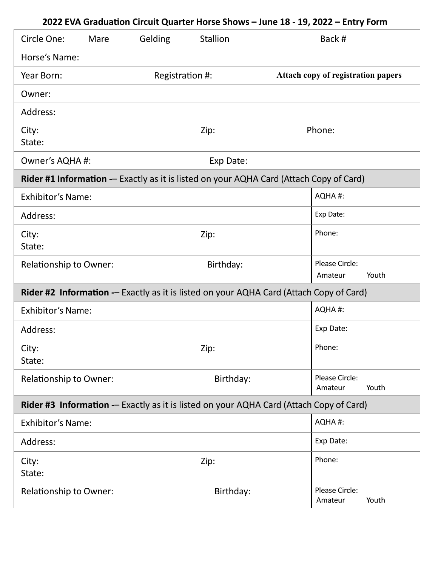| Circle One:                                                                             | Mare                         | Gelding         | <b>Stallion</b>                                                                         |  | Back #                                    |       |
|-----------------------------------------------------------------------------------------|------------------------------|-----------------|-----------------------------------------------------------------------------------------|--|-------------------------------------------|-------|
| Horse's Name:                                                                           |                              |                 |                                                                                         |  |                                           |       |
| Year Born:                                                                              |                              | Registration #: |                                                                                         |  | <b>Attach copy of registration papers</b> |       |
| Owner:                                                                                  |                              |                 |                                                                                         |  |                                           |       |
| Address:                                                                                |                              |                 |                                                                                         |  |                                           |       |
| City:<br>State:                                                                         |                              |                 | Zip:                                                                                    |  | Phone:                                    |       |
|                                                                                         | Owner's AQHA #:<br>Exp Date: |                 |                                                                                         |  |                                           |       |
|                                                                                         |                              |                 | Rider #1 Information -- Exactly as it is listed on your AQHA Card (Attach Copy of Card) |  |                                           |       |
| <b>Exhibitor's Name:</b>                                                                |                              |                 |                                                                                         |  | AQHA#:                                    |       |
| Address:                                                                                |                              |                 |                                                                                         |  | Exp Date:                                 |       |
| City:<br>State:                                                                         |                              |                 | Zip:                                                                                    |  | Phone:                                    |       |
| <b>Relationship to Owner:</b>                                                           |                              |                 | Birthday:                                                                               |  | Please Circle:<br>Amateur                 | Youth |
|                                                                                         |                              |                 | Rider #2 Information -- Exactly as it is listed on your AQHA Card (Attach Copy of Card) |  |                                           |       |
| <b>Exhibitor's Name:</b>                                                                |                              |                 |                                                                                         |  | AQHA#:                                    |       |
| Address:                                                                                |                              |                 |                                                                                         |  | Exp Date:                                 |       |
| City:<br>State:                                                                         |                              |                 | Zip:                                                                                    |  | Phone:                                    |       |
| <b>Relationship to Owner:</b>                                                           |                              |                 | Birthday:                                                                               |  | Please Circle:<br>Amateur                 | Youth |
| Rider #3 Information -- Exactly as it is listed on your AQHA Card (Attach Copy of Card) |                              |                 |                                                                                         |  |                                           |       |
| <b>Exhibitor's Name:</b>                                                                |                              |                 |                                                                                         |  | AQHA#:                                    |       |
| Address:                                                                                |                              |                 |                                                                                         |  | Exp Date:                                 |       |
| City:<br>State:                                                                         |                              |                 | Zip:                                                                                    |  | Phone:                                    |       |
| <b>Relationship to Owner:</b>                                                           |                              |                 | Birthday:                                                                               |  | Please Circle:<br>Amateur                 | Youth |

## **2022 EVA Graduation Circuit Quarter Horse Shows – June 18 - 19, 2022 – Entry Form**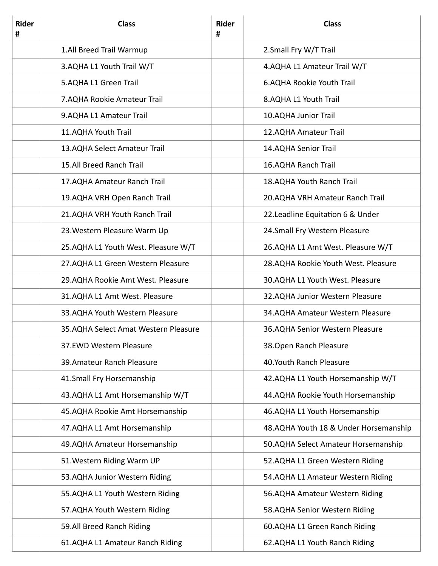| <b>Rider</b><br># | <b>Class</b>                         | <b>Rider</b><br># | <b>Class</b>                          |
|-------------------|--------------------------------------|-------------------|---------------------------------------|
|                   | 1.All Breed Trail Warmup             |                   | 2. Small Fry W/T Trail                |
|                   | 3.AQHA L1 Youth Trail W/T            |                   | 4.AQHA L1 Amateur Trail W/T           |
|                   | 5.AQHA L1 Green Trail                |                   | 6.AQHA Rookie Youth Trail             |
|                   | 7.AQHA Rookie Amateur Trail          |                   | 8.AQHA L1 Youth Trail                 |
|                   | 9.AQHA L1 Amateur Trail              |                   | 10.AQHA Junior Trail                  |
|                   | 11.AQHA Youth Trail                  |                   | 12.AQHA Amateur Trail                 |
|                   | 13.AQHA Select Amateur Trail         |                   | 14.AQHA Senior Trail                  |
|                   | 15.All Breed Ranch Trail             |                   | 16.AQHA Ranch Trail                   |
|                   | 17.AQHA Amateur Ranch Trail          |                   | 18.AQHA Youth Ranch Trail             |
|                   | 19.AQHA VRH Open Ranch Trail         |                   | 20. AQHA VRH Amateur Ranch Trail      |
|                   | 21.AQHA VRH Youth Ranch Trail        |                   | 22. Leadline Equitation 6 & Under     |
|                   | 23. Western Pleasure Warm Up         |                   | 24.Small Fry Western Pleasure         |
|                   | 25.AQHA L1 Youth West. Pleasure W/T  |                   | 26.AQHA L1 Amt West. Pleasure W/T     |
|                   | 27.AQHA L1 Green Western Pleasure    |                   | 28.AQHA Rookie Youth West. Pleasure   |
|                   | 29.AQHA Rookie Amt West. Pleasure    |                   | 30.AQHA L1 Youth West. Pleasure       |
|                   | 31.AQHA L1 Amt West. Pleasure        |                   | 32.AQHA Junior Western Pleasure       |
|                   | 33.AQHA Youth Western Pleasure       |                   | 34.AQHA Amateur Western Pleasure      |
|                   | 35.AQHA Select Amat Western Pleasure |                   | 36.AQHA Senior Western Pleasure       |
|                   | 37.EWD Western Pleasure              |                   | 38. Open Ranch Pleasure               |
|                   | 39. Amateur Ranch Pleasure           |                   | 40.Youth Ranch Pleasure               |
|                   | 41.Small Fry Horsemanship            |                   | 42.AQHA L1 Youth Horsemanship W/T     |
|                   | 43.AQHA L1 Amt Horsemanship W/T      |                   | 44.AQHA Rookie Youth Horsemanship     |
|                   | 45.AQHA Rookie Amt Horsemanship      |                   | 46.AQHA L1 Youth Horsemanship         |
|                   | 47.AQHA L1 Amt Horsemanship          |                   | 48.AQHA Youth 18 & Under Horsemanship |
|                   | 49.AQHA Amateur Horsemanship         |                   | 50.AQHA Select Amateur Horsemanship   |
|                   | 51. Western Riding Warm UP           |                   | 52.AQHA L1 Green Western Riding       |
|                   | 53.AQHA Junior Western Riding        |                   | 54.AQHA L1 Amateur Western Riding     |
|                   | 55.AQHA L1 Youth Western Riding      |                   | 56.AQHA Amateur Western Riding        |
|                   | 57.AQHA Youth Western Riding         |                   | 58.AQHA Senior Western Riding         |
|                   | 59.All Breed Ranch Riding            |                   | 60.AQHA L1 Green Ranch Riding         |
|                   | 61.AQHA L1 Amateur Ranch Riding      |                   | 62.AQHA L1 Youth Ranch Riding         |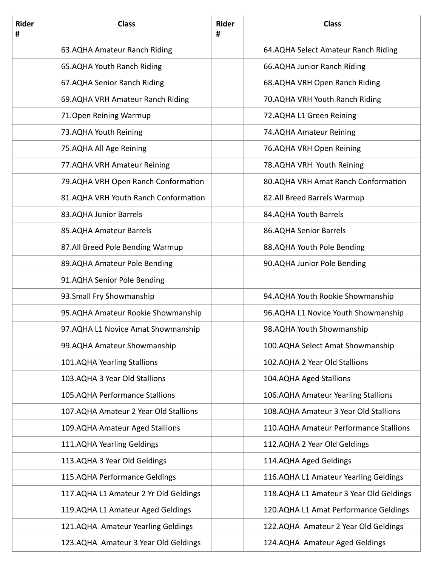| <b>Rider</b><br># | <b>Class</b>                          | <b>Rider</b><br># | <b>Class</b>                            |
|-------------------|---------------------------------------|-------------------|-----------------------------------------|
|                   | 63.AQHA Amateur Ranch Riding          |                   | 64.AQHA Select Amateur Ranch Riding     |
|                   | 65.AQHA Youth Ranch Riding            |                   | 66.AQHA Junior Ranch Riding             |
|                   | 67.AQHA Senior Ranch Riding           |                   | 68.AQHA VRH Open Ranch Riding           |
|                   | 69.AQHA VRH Amateur Ranch Riding      |                   | 70.AQHA VRH Youth Ranch Riding          |
|                   | 71. Open Reining Warmup               |                   | 72.AQHA L1 Green Reining                |
|                   | 73.AQHA Youth Reining                 |                   | 74.AQHA Amateur Reining                 |
|                   | 75.AQHA All Age Reining               |                   | 76.AQHA VRH Open Reining                |
|                   | 77. AQHA VRH Amateur Reining          |                   | 78.AQHA VRH Youth Reining               |
|                   | 79. AQHA VRH Open Ranch Conformation  |                   | 80.AQHA VRH Amat Ranch Conformation     |
|                   | 81.AQHA VRH Youth Ranch Conformation  |                   | 82.All Breed Barrels Warmup             |
|                   | 83.AQHA Junior Barrels                |                   | 84.AQHA Youth Barrels                   |
|                   | 85.AQHA Amateur Barrels               |                   | 86.AQHA Senior Barrels                  |
|                   | 87.All Breed Pole Bending Warmup      |                   | 88.AQHA Youth Pole Bending              |
|                   | 89.AQHA Amateur Pole Bending          |                   | 90.AQHA Junior Pole Bending             |
|                   | 91.AQHA Senior Pole Bending           |                   |                                         |
|                   | 93. Small Fry Showmanship             |                   | 94.AQHA Youth Rookie Showmanship        |
|                   | 95.AQHA Amateur Rookie Showmanship    |                   | 96.AQHA L1 Novice Youth Showmanship     |
|                   | 97.AQHA L1 Novice Amat Showmanship    |                   | 98.AQHA Youth Showmanship               |
|                   | 99.AQHA Amateur Showmanship           |                   | 100.AQHA Select Amat Showmanship        |
|                   | 101.AQHA Yearling Stallions           |                   | 102.AQHA 2 Year Old Stallions           |
|                   | 103.AQHA 3 Year Old Stallions         |                   | 104.AQHA Aged Stallions                 |
|                   | 105.AQHA Performance Stallions        |                   | 106.AQHA Amateur Yearling Stallions     |
|                   | 107.AQHA Amateur 2 Year Old Stallions |                   | 108.AQHA Amateur 3 Year Old Stallions   |
|                   | 109.AQHA Amateur Aged Stallions       |                   | 110.AQHA Amateur Performance Stallions  |
|                   | 111.AQHA Yearling Geldings            |                   | 112.AQHA 2 Year Old Geldings            |
|                   | 113.AQHA 3 Year Old Geldings          |                   | 114.AQHA Aged Geldings                  |
|                   | 115.AQHA Performance Geldings         |                   | 116. AQHA L1 Amateur Yearling Geldings  |
|                   | 117.AQHA L1 Amateur 2 Yr Old Geldings |                   | 118.AQHA L1 Amateur 3 Year Old Geldings |
|                   | 119. AQHA L1 Amateur Aged Geldings    |                   | 120.AQHA L1 Amat Performance Geldings   |
|                   | 121.AQHA Amateur Yearling Geldings    |                   | 122.AQHA Amateur 2 Year Old Geldings    |
|                   | 123.AQHA Amateur 3 Year Old Geldings  |                   | 124.AQHA Amateur Aged Geldings          |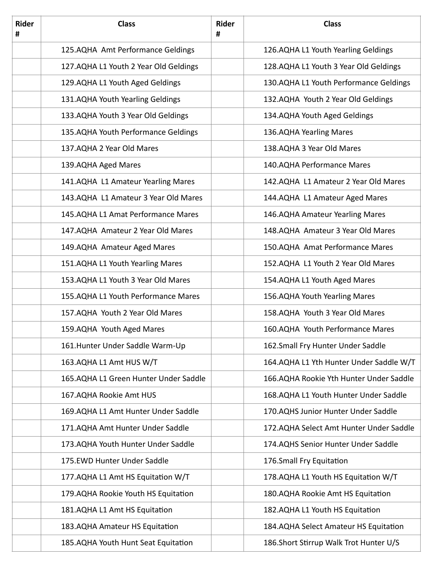| <b>Rider</b><br># | <b>Class</b>                          | <b>Rider</b><br># | <b>Class</b>                            |
|-------------------|---------------------------------------|-------------------|-----------------------------------------|
|                   | 125.AQHA Amt Performance Geldings     |                   | 126.AQHA L1 Youth Yearling Geldings     |
|                   | 127.AQHA L1 Youth 2 Year Old Geldings |                   | 128.AQHA L1 Youth 3 Year Old Geldings   |
|                   | 129.AQHA L1 Youth Aged Geldings       |                   | 130.AQHA L1 Youth Performance Geldings  |
|                   | 131.AQHA Youth Yearling Geldings      |                   | 132.AQHA Youth 2 Year Old Geldings      |
|                   | 133. AQHA Youth 3 Year Old Geldings   |                   | 134.AQHA Youth Aged Geldings            |
|                   | 135.AQHA Youth Performance Geldings   |                   | 136.AQHA Yearling Mares                 |
|                   | 137.AQHA 2 Year Old Mares             |                   | 138.AQHA 3 Year Old Mares               |
|                   | 139.AQHA Aged Mares                   |                   | 140.AQHA Performance Mares              |
|                   | 141.AQHA L1 Amateur Yearling Mares    |                   | 142.AQHA L1 Amateur 2 Year Old Mares    |
|                   | 143.AQHA L1 Amateur 3 Year Old Mares  |                   | 144.AQHA L1 Amateur Aged Mares          |
|                   | 145.AQHA L1 Amat Performance Mares    |                   | 146.AQHA Amateur Yearling Mares         |
|                   | 147.AQHA Amateur 2 Year Old Mares     |                   | 148.AQHA Amateur 3 Year Old Mares       |
|                   | 149.AQHA Amateur Aged Mares           |                   | 150.AQHA Amat Performance Mares         |
|                   | 151.AQHA L1 Youth Yearling Mares      |                   | 152.AQHA L1 Youth 2 Year Old Mares      |
|                   | 153.AQHA L1 Youth 3 Year Old Mares    |                   | 154.AQHA L1 Youth Aged Mares            |
|                   | 155.AQHA L1 Youth Performance Mares   |                   | 156.AQHA Youth Yearling Mares           |
|                   | 157.AQHA Youth 2 Year Old Mares       |                   | 158.AQHA Youth 3 Year Old Mares         |
|                   | 159.AQHA Youth Aged Mares             |                   | 160.AQHA Youth Performance Mares        |
|                   | 161. Hunter Under Saddle Warm-Up      |                   | 162. Small Fry Hunter Under Saddle      |
|                   | 163.AQHA L1 Amt HUS W/T               |                   | 164.AQHA L1 Yth Hunter Under Saddle W/T |
|                   | 165.AQHA L1 Green Hunter Under Saddle |                   | 166.AQHA Rookie Yth Hunter Under Saddle |
|                   | 167.AQHA Rookie Amt HUS               |                   | 168.AQHA L1 Youth Hunter Under Saddle   |
|                   | 169.AQHA L1 Amt Hunter Under Saddle   |                   | 170.AQHS Junior Hunter Under Saddle     |
|                   | 171.AQHA Amt Hunter Under Saddle      |                   | 172.AQHA Select Amt Hunter Under Saddle |
|                   | 173.AQHA Youth Hunter Under Saddle    |                   | 174.AQHS Senior Hunter Under Saddle     |
|                   | 175.EWD Hunter Under Saddle           |                   | 176.Small Fry Equitation                |
|                   | 177.AQHA L1 Amt HS Equitation W/T     |                   | 178.AQHA L1 Youth HS Equitation W/T     |
|                   | 179. AQHA Rookie Youth HS Equitation  |                   | 180.AQHA Rookie Amt HS Equitation       |
|                   | 181.AQHA L1 Amt HS Equitation         |                   | 182.AQHA L1 Youth HS Equitation         |
|                   | 183.AQHA Amateur HS Equitation        |                   | 184.AQHA Select Amateur HS Equitation   |
|                   | 185.AQHA Youth Hunt Seat Equitation   |                   | 186.Short Stirrup Walk Trot Hunter U/S  |